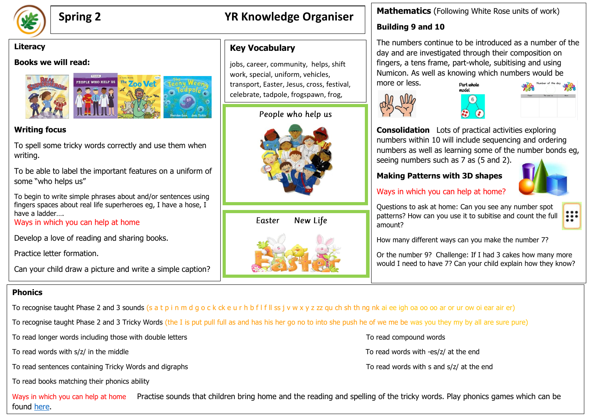

# **Spring 2 YR Knowledge Organiser**

jobs, career, community, helps, shift work, special, uniform, vehicles,

transport, Easter, Jesus, cross, festival, celebrate, tadpole, frogspawn, frog,

People who help us

**Key Vocabulary**

#### **Literacy**

#### **Books we will read:**



### **Writing focus**

To spell some tricky words correctly and use them when writing.

To be able to label the important features on a uniform of some "who helps us"

To begin to write simple phrases about and/or sentences using fingers spaces about real life superheroes eg, I have a hose, I have a ladder….

Ways in which you can help at home

Develop a love of reading and sharing books.

Practice letter formation.

Can your child draw a picture and write a simple caption?

#### **Phonics**

To recognise taught Phase 2 and 3 sounds (s a t p i n m d g o c k ck e u r h b f l f ll ss j v w x y z zz qu ch sh th ng nk ai ee igh oa oo oo ar or ur ow oi ear air er)

To recognise taught Phase 2 and 3 Tricky Words (the I is put pull full as and has his her go no to into she push he of we me be was you they my by all are sure pure)

To read longer words including those with double letters To read compound words To read compound words

To read words with s/z/ in the middle To read words with -es/z/ at the end

To read sentences containing Tricky Words and digraphs To read words with s and s/z/ at the end

To read books matching their phonics ability

Ways in which you can help at home Practise sounds that children bring home and the reading and spelling of the tricky words. Play phonics games which can be found [here.](https://www.phonicsplay.co.uk/)

### **Mathematics** (Following White Rose units of work)

## **Building 9 and 10**

The numbers continue to be introduced as a number of the day and are investigated through their composition on fingers, a tens frame, part-whole, subitising and using Numicon. As well as knowing which numbers would be more or less. Part whole







**Consolidation** Lots of practical activities exploring numbers within 10 will include sequencing and ordering numbers as well as learning some of the number bonds eg, seeing numbers such as 7 as (5 and 2).

#### **Making Patterns with 3D shapes**



m

### Ways in which you can help at home?

Questions to ask at home: Can you see any number spot patterns? How can you use it to subitise and count the full amount?

How many different ways can you make the number 7?

Or the number 9? Challenge: If I had 3 cakes how many more would I need to have 7? Can your child explain how they know?